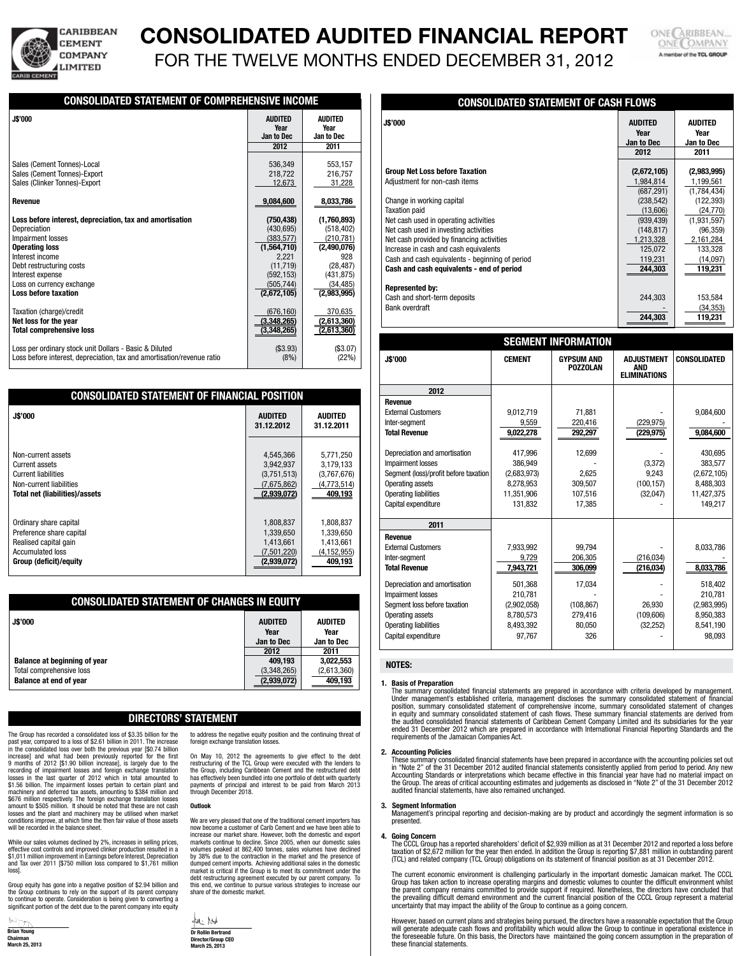

# **CONSOLIDATED AUDITED FINANCIAL REPORT**

FOR THE TWELVE MONTHS ENDED DECEMBER 31, 2012

ONE CARIBBEAN. **ONE** COMPANY A member of the TCL GROUP

**244,303** 119,231

# **CONSOLIDATED STATEMENT OF COMPREHENSIVE INCOME J\$'000 audited Audited Year Year Jan to Dec Jan to Dec 2012 2011** Sales (Cement Tonnes)-Local 536,349 553,157<br>Sales (Cement Tonnes)-Export 536,349 553,157 536,349 553,157 Sales (Cement Tonnes)-Export Sales (Clinker Tonnes)-Export 12,673 31,228 Revenue 8,033,786 **Loss before interest, depreciation, tax and amortisation (750,438) (1,760,893)** Depreciation (430,695) (518,402) Impairment losses  $\overline{Operating loss}$  (383,577) (210,781) (210,781) **Operating loss (1,564,710)** (2,490,076)<br>Interest income (2,221 and 2,221 and 2,221 and 2,221 and 2,221 and 2,221 and 2,221 and 2,221 and 2,221 and 2,22 Interest income 928<br>
Debt restructuring costs (11,719) (28,487) Debt restructuring costs (11,719) (28,487)<br>
Interest expense (431,875) (431,875) Interest expense (592,153)<br>
Loss on currency exchange (592,153)<br>  $(505.744)$ Loss on currency exchange  $\begin{array}{|c|c|c|c|c|}\n\hline \text{(305,744)} & & \text{(34,485)} \\\hline \text{(2,672,105)} & & \text{(2,983,995)} \\\hline \end{array}$ Loss before taxation Taxation (charge)/credit (676,160) 370,635<br>
Net loss for the year (676,160) 370,635<br>
(2,613,360) **Net loss for the year (2,613,360)** (2,613,360) (2,613,360) (2,613,360) (2,613,360) (2,613,360) **Total comprehensive loss** Loss per ordinary stock unit Dollars - Basic & Diluted (\$3.93) (\$3.93) (\$3.93) Loss before interest, depreciation, tax and amortisation/revenue ratio  $(8\%)$  (8%) (22%)  $\overline{a}$

| <b>CONSOLIDATED STATEMENT OF FINANCIAL POSITION</b> |                              |                              |  |  |
|-----------------------------------------------------|------------------------------|------------------------------|--|--|
| <b>J\$'000</b>                                      | <b>AUDITED</b><br>31.12.2012 | <b>AUDITED</b><br>31.12.2011 |  |  |
| Non-current assets                                  | 4,545,366                    | 5,771,250                    |  |  |
| Current assets                                      | 3,942,937                    | 3,179,133                    |  |  |
| <b>Current liabilities</b>                          | (3,751,513)                  | (3,767,676)                  |  |  |
| Non-current liabilities                             | (7,675,862)                  | (4,773,514)                  |  |  |
| <b>Total net (liabilities)/assets</b>               | (2,939,072)                  | 409,193                      |  |  |
| Ordinary share capital                              | 1,808,837                    | 1,808,837                    |  |  |
| Preference share capital                            | 1,339,650                    | 1,339,650                    |  |  |
| Realised capital gain                               | 1,413,661                    | 1,413,661                    |  |  |
| <b>Accumulated loss</b>                             | (7,501,220)                  | (4,152,955)                  |  |  |
| <b>Group (deficit)/equity</b>                       | (2,939,072)                  | 409.193                      |  |  |

| <b>CONSOLIDATED STATEMENT OF CHANGES IN EQUITY</b>                                               |                                               |                                             |  |
|--------------------------------------------------------------------------------------------------|-----------------------------------------------|---------------------------------------------|--|
| <b>J\$'000</b>                                                                                   | <b>AUDITED</b><br>Year<br>Jan to Dec          | <b>AUDITED</b><br>Year<br>Jan to Dec        |  |
| <b>Balance at beginning of year</b><br>Total comprehensive loss<br><b>Balance at end of year</b> | 2012<br>409,193<br>(3,348,265)<br>(2,939,072) | 2011<br>3,022,553<br>(2,613,360)<br>409,193 |  |

# **Directors' Statement**

to address the negative equity position and the continuing threat of

On May 10, 2012 the agreements to give effect to the debt restructuring of the TCL Group were executed with the lenders to the Group, including Caribbean Cement and the restructured debt has effectively been bundled into one portfolio of debt with quarterly payments of principal and interest to be paid from March 2013 through December 2018.

We are very pleased that one of the traditional cement importers has now become a customer of Carib Cement and we have been able to increase our market share. However, both the domestic and export markets continue to decline. Since 2005, when our domestic sales volumes peaked at 862,400 tonnes, sales volumes have declined by 38% due to the contraction in the market and the presence of dumped cement imports. Achieving additional sales in the domestic market is critical if the Group is to meet its commitment under the debt restructuring agreement executed by our parent company. To this end, we continue to pursue various strategies to increase our share of the domestic market.

foreign exchange translation loss

The Group has recorded a consolidated loss of \$3.35 billion for the past year, compared to a loss of \$2.61 billion in 2011. The increase in the consolidated loss over both the previous year [\$0.74 billion increase] and what had been previously reported for the first 9 months of 2012 [\$1.90 billion increase], is largely due to the recording of impairment losses and foreign exchange translation losses in the last quarter of 2012 which in total amounted to \$1.56 billion. The impairment losses pertain to certain plant and machinery and deferred tax assets, amounting to \$384 million and \$676 million respectively. The foreign exchange translation losses amount to \$505 million. It should be noted that these are not cash losses and the plant and machinery may be utilised when market conditions improve, at which time the then fair value of those assets will be recorded in the balance sheet.

While our sales volumes declined by 2%, increases in selling prices, effective cost controls and improved clinker production resulted in a \$1,011 million improvement in Earnings before Interest, Depreciation and Tax over 2011 [\$750 million loss compared to \$1,761 million loss].

Group equity has gone into a negative position of \$2.94 billion and the Group continues to rely on the support of its parent company to continue to operate. Consideration is being given to converting a significant portion of the debt due to the parent company into equity



ful htt **Dr Rollin Bertrand Director/Group CEO March 25, 2013**

**Outlook**

| <u>UUNUULIDATLD UTATLINLIIT UT VAUITTLUINU</u>  |                                              |                                       |  |
|-------------------------------------------------|----------------------------------------------|---------------------------------------|--|
| <b>J\$'000</b>                                  | <b>AUDITED</b><br>Year<br>Jan to Dec<br>2012 | AUDITED<br>Year<br>Jan to Dec<br>2011 |  |
|                                                 |                                              |                                       |  |
| <b>Group Net Loss before Taxation</b>           | (2,672,105)                                  | (2,983,995)                           |  |
| Adjustment for non-cash items                   | 1,984,814                                    | 1,199,561                             |  |
|                                                 | (687, 291)                                   | (1,784,434)                           |  |
| Change in working capital                       | (238, 542)                                   | (122, 393)                            |  |
| <b>Taxation paid</b>                            | (13,606)                                     | (24, 770)                             |  |
| Net cash used in operating activities           | (939, 439)                                   | (1,931,597)                           |  |
| Net cash used in investing activities           | (148, 817)                                   | (96, 359)                             |  |
| Net cash provided by financing activities       | 1,213,328                                    | 2,161,284                             |  |
| Increase in cash and cash equivalents           | 125,072                                      | 133,328                               |  |
| Cash and cash equivalents - beginning of period | 119,231                                      | (14,097)                              |  |
| Cash and cash equivalents - end of period       | 244,303                                      | 119,231                               |  |
|                                                 |                                              |                                       |  |
| <b>Represented by:</b>                          |                                              |                                       |  |

Cash and short-term deposits  $244.303$  153,584 Bank overdraft - (34,353)

**CONSOLIDATED STATEMENT OF CASH FLOWS** 

| <b>SEGMENT INFORMATION</b>            |               |                                      |                                                        |                     |  |  |  |
|---------------------------------------|---------------|--------------------------------------|--------------------------------------------------------|---------------------|--|--|--|
| <b>J\$'000</b>                        | <b>CEMENT</b> | <b>GYPSUM AND</b><br><b>POZZOLAN</b> | <b>ADJUSTMENT</b><br><b>AND</b><br><b>ELIMINATIONS</b> | <b>CONSOLIDATED</b> |  |  |  |
| 2012                                  |               |                                      |                                                        |                     |  |  |  |
| <b>Revenue</b>                        |               |                                      |                                                        |                     |  |  |  |
| <b>External Customers</b>             | 9,012,719     | 71,881                               |                                                        | 9,084,600           |  |  |  |
| Inter-segment                         | 9,559         | 220,416                              | (229, 975)                                             |                     |  |  |  |
| <b>Total Revenue</b>                  | 9,022,278     | 292,297                              | (229, 975)                                             | 9,084,600           |  |  |  |
|                                       |               |                                      |                                                        |                     |  |  |  |
| Depreciation and amortisation         | 417,996       | 12,699                               |                                                        | 430,695             |  |  |  |
| Impairment losses                     | 386,949       |                                      | (3,372)                                                | 383,577             |  |  |  |
| Segment (loss)/profit before taxation | (2,683,973)   | 2,625                                | 9,243                                                  | (2,672,105)         |  |  |  |
| Operating assets                      | 8,278,953     | 309,507                              | (100, 157)                                             | 8,488,303           |  |  |  |
| Operating liabilities                 | 11,351,906    | 107,516                              | (32,047)                                               | 11,427,375          |  |  |  |
| Capital expenditure                   | 131,832       | 17,385                               |                                                        | 149,217             |  |  |  |
| 2011                                  |               |                                      |                                                        |                     |  |  |  |
| <b>Revenue</b>                        |               |                                      |                                                        |                     |  |  |  |
| <b>External Customers</b>             | 7,933,992     | 99,794                               |                                                        | 8,033,786           |  |  |  |
| Inter-segment                         | 9,729         | 206,305                              | (216, 034)                                             |                     |  |  |  |
| <b>Total Revenue</b>                  | 7,943,721     | 306,099                              | (216, 034)                                             | 8,033,786           |  |  |  |
| Depreciation and amortisation         | 501,368       | 17,034                               |                                                        | 518,402             |  |  |  |
| Impairment losses                     | 210,781       |                                      |                                                        | 210,781             |  |  |  |
| Segment loss before taxation          | (2,902,058)   | (108, 867)                           | 26.930                                                 | (2,983,995)         |  |  |  |
| Operating assets                      | 8,780,573     | 279,416                              | (109, 606)                                             | 8,950,383           |  |  |  |
| Operating liabilities                 | 8,493,392     | 80,050                               | (32, 252)                                              | 8,541,190           |  |  |  |
| Capital expenditure                   | 97,767        | 326                                  |                                                        | 98,093              |  |  |  |
|                                       |               |                                      |                                                        |                     |  |  |  |

# **Notes:**

### **1. Basis of Preparation**

The summary consolidated financial statements are prepared in accordance with criteria developed by management. Under management's established criteria, management discloses the summary consolidated statement of financial position, summary consolidated statement of comprehensive income, summary consolidated statement of changes<br>in equity and summary consolidated statement of cash flows. These summary financial statements are derived from<br>th ended 31 December 2012 which are prepared in accordance with International Financial Reporting Standards and the requirements of the Jamaican Companies Act.

#### **2. Accounting Policies**

These summary consolidated financial statements have been prepared in accordance with the accounting policies set out<br>in "Note 2" of the 31 December 2012 audited financial statements consistently applied from period to per Accounting Standards or interpretations which became effective in this financial year have had no material impact on the Group. The areas of critical accounting estimates and judgements as disclosed in "Note 2" of the 31 December 2012 audited financial statements, have also remained unchanged.

### **3. Segment Information**

Management's principal reporting and decision-making are by product and accordingly the segment information is so presented.

### **4. Going Concern**

The CCCL Group has a reported shareholders' deficit of \$2,939 million as at 31 December 2012 and reported a loss before taxation of \$2,672 million for the year then ended. In addition the Group is reporting \$7,881 million in outstanding parent (TCL) and related company (TCL Group) obligations on its statement of financial position as at 31 December 2012.

The current economic environment is challenging particularly in the important domestic Jamaican market. The CCCL<br>Group has taken action to increase operating margins and domestic volumes to counter the difficult environmen uncertainty that may impact the ability of the Group to continue as a going concern.

However, based on current plans and strategies being pursued, the directors have a reasonable expectation that the Group<br>will generate adequate cash flows and profitability which would allow the Group to continue in operat the foreseeable future. On this basis, the Directors have maintained the going concern assumption in the preparation of these financial statements.